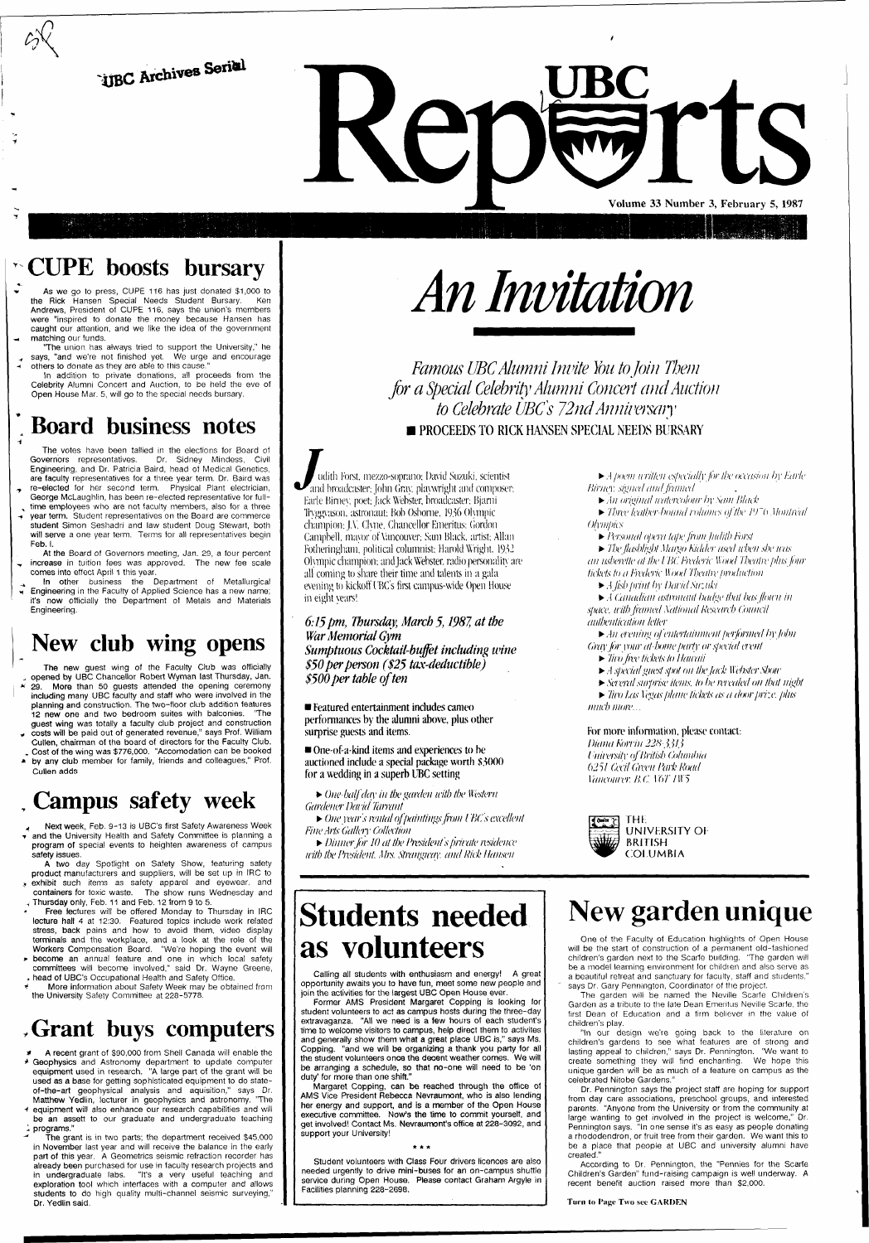**tJBC** Archives Seriel

**w** 

**Volume 33 Number 3, February 5, 1987** 

### CUPE boosts bursary

As we go to press, CUPE 116 has just donated \$1,000 to the Rick Hansen Special Needs Student Bursary. Ken Andrews, President of CUPE 116, says the union's members were "inspired to donate the money because Hansen has caught our attention, and we like the idea of the government matching our funds.

'The union has always tried to support the University," he says, "and we're not finished yet. We urge and encourage others to donate as they are able to this cause.

In addition to private donations, all proceeds from the Celebrity Alumni Concert and Auction, to be held the eve of Open House Mar. 5, will go to the special needs bursary.

## **Board business notes**

In other business the Department of Metallurgical Engineering in the Faculty of Applied Science has a new name; it's now officially the Department of Metals and Materials Engineering.

The new guest wing of the Faculty Club was officially <sup>A</sup> opened by UBC Chancellor Robert Wyman last Thursday, Jan.  $*$  29. More than 50 guests attended the opening ceremony including many UBC faculty and staff who were involved in the planning and construction. The two-floor club addition features 12 new one and two bedroom suites with balconies. 'The guest wing was totally a faculty club project and construction costs will be paid out of generated revenue," says Prof. William

The votes have been tallied in the elections for Board of Governors representatives. Dr. Sidney Mindess, Civil Engineering, and Dr. Patricia Baird, head of Medical Genetics, are faculty representatives for a three year term. Dr. Baird was re-elected for her second term. Physical Plant electrician, George McLaughlin, has been re-elected representative for full—

time employees who are not faculty members, also for a three vear term. Student representatives on the Board are commerce student Simon Seshadri and law student Doug Stewart, both will serve a one year term. Terms for all representatives begin Feb. I

Cullen, chairman of the board of directors for the Faculty Club. Cost of the wing was \$776,000. "Accomodation can be booked

by any club member for family, friends and colleagues," Prof. Cullen adds

# Campus safety week

Next week, Feb. 9-13 is UBC's first Safety Awareness Week  $\overline{\mathbf{v}}$  and the University Health and Safety Committee is planning a program of special events to heighten awareness of campus safety issues.

At the Board of Governors meeting, Jan. 29, a four percent increase in tuition fees was approved. The new fee scale comes into effect April 1 this year.

# New club wing opens

- A recent grant of \$90,000 from Shell Canada will enable the \* Geophysics and Astronomy department to update computer equipment used in research. "A large part of the grant will be used as a base for getting sophisticated equipment to do stateof-the-art geophysical analysis and aquisition," says Dr. Matthew Yedlin, lecturer in geophysics and astronomy. 'The
- •i equipment will also enhance our research capabilities and will be an assett to our graduate and undergraduate teaching  $\frac{1}{2}$  programs."
- The grant is in two parts; the department received \$45,000 in November last year and will receive the balance in the early part of this year. A Geometrics seismic refraction recorder has already been purchased for use in faculty research projects and in undergraduate labs. "It's a very useful teaching and exploration tool which interfaces with a computer and allows students to do high quality multi-channel seismic surveying," Dr. Yedlin said.

### **as volunteer**

*Famous UBC Alumni Invite You to Join Them for a Special Celebrity Alumni Concert and Auction to Celebrate UBCs 72nd Annivcrsaiy*  **PROCEEDS TO RICK HANSEN SPECIAL NEEDS BURSARY** 

A two day Spotlight on Safety Show, featuring safety product manufacturers and suppliers, will be set up in IRC to **b** exhibit such items as safety apparel and eyewear, and containers for toxic waste. The show runs Wednesday and , Thursday only, Feb. 11 and Feb. 12 from 9 to 5.

Free lectures will be offered Monday to Thursday in IRC lecture hall 4 at 12:30. Featured topics include work related stress, back pains and how to avoid them, video display terminals and the workplace, and a look at the role of the Workers Compensation Board. "We're hoping the event will

• *An ereniug of 'entertainment performed by John Gray for your at-home party or special event* 

- » become an annual feature and one in which local safety committees will become involved," said Dr. Wayne Greene, , head of UBC's Occupational Health and Safety Office.
- More information about Safety Week may be obtained from the University Safety Committee at 228-5778.

### .Grant buys computers

# *An Mutation*

*m* udith Forst. mezzo-soprano; David Suzuki, scientist and broadcaster; John Gray, playwright and composer; Earle Birney, poet; Jack Webster, broadcaster; Bjarni Tryggvason. astronaut: Bob Osborne. 1936 Olympic champion: J.V. Clyne, Chancellor Emeritus: Gordon Campbell, mayor of Vancouver; Sam Black, artist; Allan Fotheringham, political columnist; Harold Wright. 1932 Olympic champion; and Jack Webster, radio personality are all coming to share their time and talents in a gala evening to kickoff (BC's first campus-wide Open House in eight years!

*6:15 pm, Thursday, March 5,1987, at the War Memorial Gym Sumptuous Cocktail-buffet including wine \$50 per person (\$25 tax-deductible) \$500 per table often* 

**• Featured entertainment includes cameo performances by the alumni above, plus other surprise guests and items.** 

**• One-of-a-kind items and experiences to be auctioned include a special package worth \$3000 for a wedding in a superb UBC setting** 

• *One half day in the garden with the Western Gardener Da/id Tarrant* 

• *One year's ivntalof paintingsfvm I BC's excellent Fine Arts Gallery Collection* 

• *Din ner for 10 at the President s (nil xite residence with the President Mrs. Strangway. and Rick Hansen* 

• *A poem written especially for the occasion by Earle Birney. signed and framed* 

• *An original watercolour by Sam Black* 

• *Three leather-bound volumes of the* /97> *Montreal Olymfiics* 

• *Personal opera tapefrom Judith Hirst* 

• *The flashlight Maigo Kidder used when she was an usherette tit the I BC Frederic Wood Theatre plus four tickets to a Frederic Wood Theatre production* 

• *A f/shfiriut by DavidSuzuki* 

• *A Canadian astronaut badge that has Jloicn in space, with framed Xational Research Council authentication letter* 

• *Two fve tickets lo Hawaii* 

*>• A special guest spot on the Jack Webster Show* 

• *Several surprise items, to be revealed on that night*  • *Tiro las* I *'egas plane tickets as a door prize, fi/us* 

*much more...* 

**For more information, please contact:**  *Diana Korvin 22H' j.j/j I'niversity of British Columbia 6251 Cecil Green Park Road Vancouver B.C.* lo77H"5



**Students needed** 

Calling all students with enthusiasm and energy! A great opportunity awaits you to have fun, meet some new people and join the activities for the largest UBC Open House ever.

Former AMS President Margaret Copping is looking for student volunteers to act as campus hosts during the three-day extravaganza. "All we need is a few hours of each student's time to welcome visitors to campus, help direct them to activites and generally show them what a great place UBC is," says Ms. Copping, "and we will be organizing a thank you party for all the student volunteers once the decent weather comes. We will be arranging a schedule, so that no-one will need to be 'on duty' for more than one shift."

Margaret Copping, can be reached through the office of AMS Vice President Rebecca Nevraumont, who is also lending her energy and support, and is a member of the Open House executive committee. Now's the time to commit yourself, and get involved! Contact Ms. Nevraumont's office at 228-3092, and support your University!

Student volunteers with Class Four drivers licences are also needed urgently to drive mini-buses for an on-campus shuttle service during Open House. Please contact Graham Argyle in Facilities planning 228-2698.

# New garden unique

One of the Faculty of Education highlights of Open House

will be the start of construction of a permanent old-fashioned children's garden next to the Scarfe building. 'The garden will be a model learning environment for children and also serve as a beautiful retreat and sanctuary for faculty, staff and students," says Dr. Gary Pennington, Coordinator of the project.

The garden will be named the Neville Scarfe Children's Garden as a tribute to the late Dean Emeritus Neville Scarfe, the first Dean of Education and a firm believer in the value of children's play.

"In our design we're going back to the literature on children's gardens to see what features are of strong and lasting appeal to children," says Dr. Pennington. "We want to create something they will find enchanting. We hope this unique garden will be as much of a feature on campus as the celebrated Nitobe Gardens."

Dr. Pennington says the project staff are hoping for support from day care associations, preschool groups, and interested parents. "Anyone from the University or from the community at large wanting to get involved in the project is. welcome," Dr. Pennington says. "In one sense it's as easy as people donating a rhododendron, or fruit tree from their garden. We want this to be a place that people at UBC and university alumni have created."

According to Dr. Pennington, the "Pennies for the Scarfe Children's Garden" fund-raising campaign is well underway. A recent benefit auction raised more than \$2,000.

#### Turn to Page Two sec GARDEN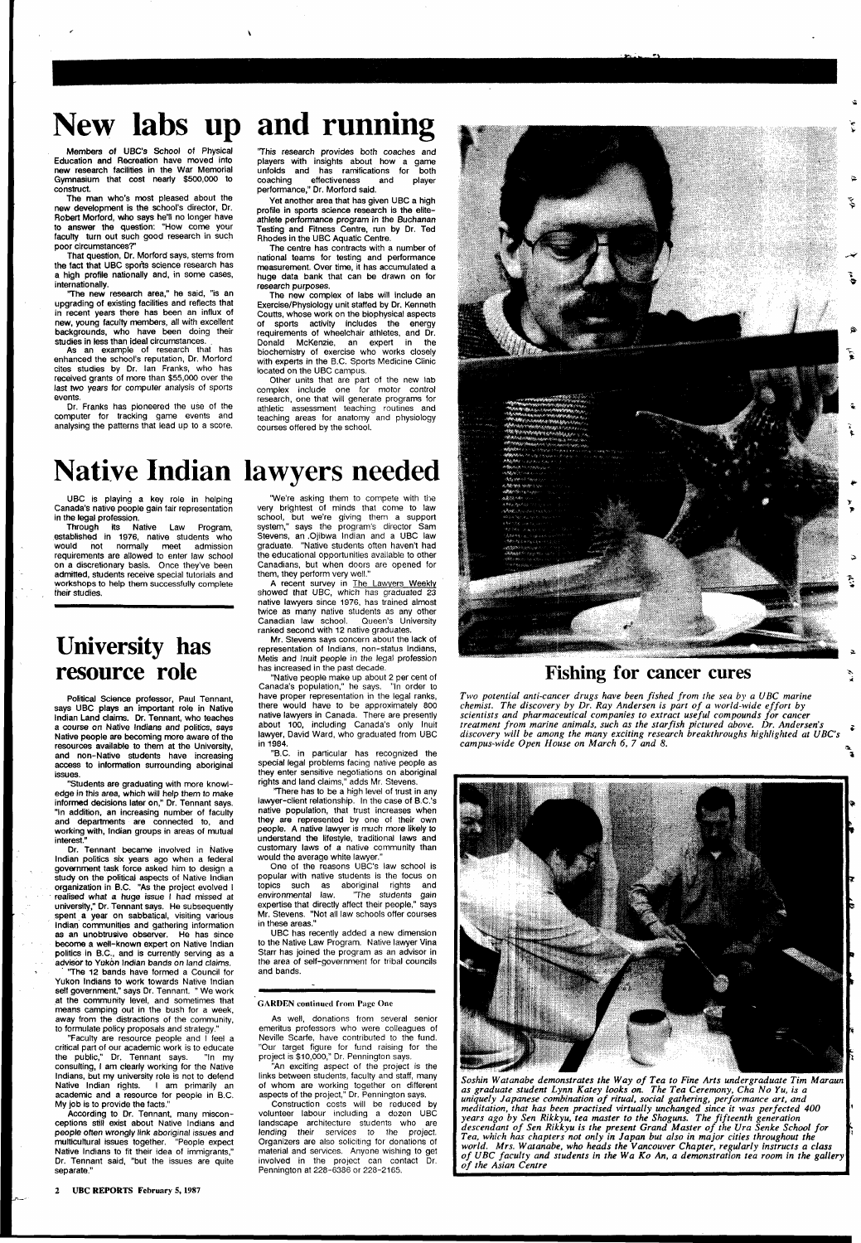# **New labs up and running**

Members of UBC's School of Physical Education and Recreation have moved into new research facilities in the War Memorial Gymnasium that cost nearly \$500,000 to construct.

The man who's most pleased about the new development is the school's director, Dr. Robert Morford, who says he'll no longer have to answer the question: "How come your faculty turn out such good research in such poor circumstances?'

That question, Dr. Morford says, stems from the fact that UBC sports science research has a high profile nationally and, in some cases, internationally.

'The new research area," he said, "is an upgrading of existing facilities and reflects that in recent years there has been an influx of new, young faculty members, all with excellent backgrounds, who have been doing their studies in less than ideal circumstances. .

As an example of research that has enhanced the school's reputation, Dr. Morford cites studies by Dr. Ian Franks, who has received grants of more than \$55,000 over the last two years for computer analysis of sports events.

Dr. Franks has pioneered the use of the computer for tracking game events and analysing the patterns that lead up to a score.

'This research provides both coaches and players with insights about how a game unfolds and has ramifications for both<br>coaching effectiveness and player coaching effectiveness and player performance," Dr. Morford said.

Yet another area that has given UBC a high profile in sports science research is the eliteathlete performance program in the Buchanan Testing and Fitness Centre, run by Dr. Ted Rhodes in the UBC Aquatic Centre.

The centre has contracts with a number of national teams for testing and performance measurement. Over time, it has accumulated a huge data bank that can be drawn on for research purposes.

The new complex of labs will include an Exercise/Physiology unit staffed by Dr. Kenneth Coutts, whose work on the biophysical aspects of sports activity includes the energy requirements of wheelchair athletes, and Dr. Donald McKenzie, an expert in the biochemistry of exercise who works closely with experts in the B.C. Sports Medicine Clinic located on the UBC campus.

politics in B.C., and is currently serving as a advisor to Yukon Indian bands on land claims.

Other units that are part of the new lab complex include one for motor control research, one that will generate programs for athletic assessment teaching routines and teaching areas for anatomy and physiology courses offered by the school.

# Native Indian lawyers needed

UBC is playing a key role in helping Canada's native people gain fair representation in the legal profession.

Through its Native Law Program, established in 1976, native students who would not normally meet admission requirements are allowed to enter law school on a discretionary basis. Once they've been admitted, students receive special tutorials and workshops to help them successfully complete their studies.

A recent survey in The Lawyers Weekly showed that UBC, which has graduated 23 native lawyers since 1976, has trained almost twice as many native students as any other Canadian law school. Queen's University ranked second with 12 native graduates.

### **University has resource role**

Political Science professor, Paul Tennant, says UBC plays an important role in Native Indian Land claims. Dr. Tennant, who teaches a course on Native Indians and politics, says Native people are becoming more aware of the resources available to them at the University, and non-Native students have increasing access to information surrounding aboriginal issues.

"Students are graduating with more knowledge in this area, which will help them to make informed decisions later on," Dr. Tennant says. "In addition, an increasing number of faculty and departments are connected to, and working with, Indian groups in areas of mutual interest."

Dr. Tennant became involved in Native Indian politics six years ago when a federal government task force asked him to design a study on the political aspects of Native Indian organization in B.C. "As the project evolved I realised what a huge issue I had missed at university," Dr.Tennant says. He subsequently spent a year on sabbatical, visiting various Indian communities and gathering information as an unobtrusive observer. He has since become a well-known expert on Native Indian

'The 12 bands have formed a Council for Yukon Indians to work towards Native Indian self government," says Dr. Tennant. " We work at the community level, and sometimes that means camping out in the bush for a week, away from the distractions of the community, to formulate policy proposals and strategy."

"Faculty are resource people and I feel a critical part of our academic work is to educate the public," Dr. Tennant says. "In my consulting, I am clearly working for the Native Indians, but my university role is not to defend Native Indian rights. I am primarily an academic and a resource for people in B.C. My job is to provide the facts."

According to Dr. Tennant, many misconceptions still exist about Native Indians and people often wrongly link aboriginal issues and multicultural issues together. "People expect Native Indians to fit their idea of immigrants," Dr. Tennant said, "but the issues are quite separate."

"We're asking them to compete with the very brightest of minds that come to law school, but we're giving them a support system," says the program's director Sam Stevens, an .Ojibwa Indian and a UBC law graduate. "Native students often haven't had the educational opportunities available to other Canadians, but when doors are opened for them, they perform very well."

Mr. Stevens says concern about the lack of representation of Indians, non-status Indians, Metis and Inuit people in the legal profession has increased in the past decade.

"Native people make up about 2 per cent of Canada's population," he says. "In order to have proper representation in the legal ranks, there would have to be approximately 800 native lawyers in Canada. There are presently about 100, including Canada's only Inuit lawyer, David Ward, who graduated from UBC in 1984.

"B.C. in particular has recognized the special legal problems facing native people as they enter sensitive negotiations on aboriginal rights and land claims," adds Mr. Stevens.

'There has to be a high level of trust in any lawyer-client relationship. In the case of B.C.'s native population, that trust increases when they are represented by one of their own people. A native lawyer is much more likely to understand the lifestyle, traditional laws and customary laws of a native community than would the average white lawyer."

One of the reasons UBC's law school is popular with native students is the focus on topics such as aboriginal rights and<br>environmental law. "The students gain 'The students gain expertise that directly affect their people," says Mr. Stevens. "Not all law schools offer courses in these areas."

UBC has recently added a new dimension to the Native Law Program. Native lawyer Vina Starr has joined the program as an advisor in the area of self-government for tribal councils and bands.

#### GARDEN continued from Page One

As well, donations from several senior emeritus professors who were colleagues of Neville Scarfe, have contributed to the fund. "Our target figure for fund raising for the project is \$10,000," Dr. Pennington says.

"An exciting aspect of the project is the links between students, faculty and staff, many of whom are working together on different aspects of the project," Dr. Pennington says.

Construction costs will be reduced by volunteer labour including a dozen UBC landscape architecture students who are lending their services to the project. Organizers are also soliciting for donations of material and services. Anyone wishing to get involved in the project can contact Dr. Pennington at 228-6386 or 228-2165.



### **Fishing for cancer cures**

*Two potential anti-cancer drugs have been fished from the sea by a UBC marine chemist. The discovery by Dr. Ray Andersen is part of a world-wide effort by scientists and pharmaceutical companies to extract useful compounds for cancer treatment from marine animals, such as the starfish pictured above. Dr. Andersen's* j *discovery will be among the many exciting research breakthroughs highlighted at UBC's campus-wide Open House on March 6, 7 and 8.* \_



*Soshin Watanabe demonstrates the Way of Tea to Fine Arts undergraduate Tim Maraun as graduate student Lynn Katey looks on. The Tea Ceremony, Cha No Yu, is a uniquely Japanese combination of ritual, social gathering, performance art, and meditation, that has been practised virtually unchanged since it was perfected 400 years ago by Sen Rikkyu, tea master to the Shoguns. The fifteenth generation descendant of Sen Rikkyu is the present Grand Master of the Ura Senke School for Tea, which has chapters not only in Japan but also in major cities throughout the world. Mrs. Watanabe, who heads the Vancouver Chapter, regularly instructs a class of UBC faculty and students in the Wa Ko An, a demonstration tea room in the gallery of the Asian Centre* 

2 UBC REPORTS February 5, 1987